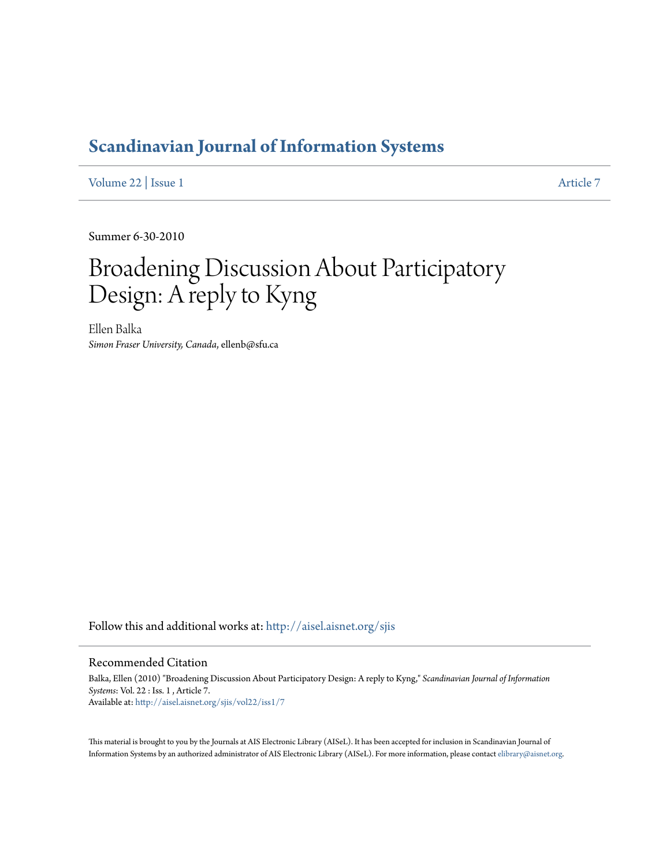# **[Scandinavian Journal of Information Systems](http://aisel.aisnet.org/sjis?utm_source=aisel.aisnet.org%2Fsjis%2Fvol22%2Fiss1%2F7&utm_medium=PDF&utm_campaign=PDFCoverPages)**

[Volume 22](http://aisel.aisnet.org/sjis/vol22?utm_source=aisel.aisnet.org%2Fsjis%2Fvol22%2Fiss1%2F7&utm_medium=PDF&utm_campaign=PDFCoverPages) | [Issue 1](http://aisel.aisnet.org/sjis/vol22/iss1?utm_source=aisel.aisnet.org%2Fsjis%2Fvol22%2Fiss1%2F7&utm_medium=PDF&utm_campaign=PDFCoverPages) [Article 7](http://aisel.aisnet.org/sjis/vol22/iss1/7?utm_source=aisel.aisnet.org%2Fsjis%2Fvol22%2Fiss1%2F7&utm_medium=PDF&utm_campaign=PDFCoverPages)

Summer 6-30-2010

# Broadening Discussion About Participatory Design: A reply to Kyng

Ellen Balka *Simon Fraser University, Canada*, ellenb@sfu.ca

Follow this and additional works at: [http://aisel.aisnet.org/sjis](http://aisel.aisnet.org/sjis?utm_source=aisel.aisnet.org%2Fsjis%2Fvol22%2Fiss1%2F7&utm_medium=PDF&utm_campaign=PDFCoverPages)

#### Recommended Citation

Balka, Ellen (2010) "Broadening Discussion About Participatory Design: A reply to Kyng," *Scandinavian Journal of Information Systems*: Vol. 22 : Iss. 1 , Article 7. Available at: [http://aisel.aisnet.org/sjis/vol22/iss1/7](http://aisel.aisnet.org/sjis/vol22/iss1/7?utm_source=aisel.aisnet.org%2Fsjis%2Fvol22%2Fiss1%2F7&utm_medium=PDF&utm_campaign=PDFCoverPages)

This material is brought to you by the Journals at AIS Electronic Library (AISeL). It has been accepted for inclusion in Scandinavian Journal of Information Systems by an authorized administrator of AIS Electronic Library (AISeL). For more information, please contact [elibrary@aisnet.org.](mailto:elibrary@aisnet.org%3E)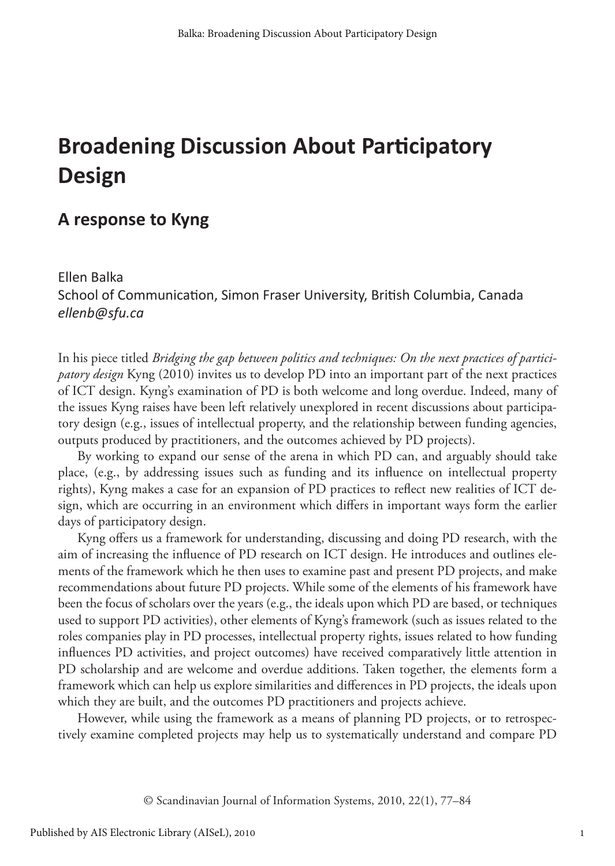# **Broadening Discussion About Participatory Design**

#### **A response to Kyng**

Ellen Balka School of Communication, Simon Fraser University, British Columbia, Canada *ellenb@sfu.ca*

In his piece titled *Bridging the gap between politics and techniques: On the next practices of participatory design* Kyng (2010) invites us to develop PD into an important part of the next practices of ICT design. Kyng's examination of PD is both welcome and long overdue. Indeed, many of the issues Kyng raises have been left relatively unexplored in recent discussions about participatory design (e.g., issues of intellectual property, and the relationship between funding agencies, outputs produced by practitioners, and the outcomes achieved by PD projects).

By working to expand our sense of the arena in which PD can, and arguably should take place, (e.g., by addressing issues such as funding and its influence on intellectual property rights), Kyng makes a case for an expansion of PD practices to reflect new realities of ICT design, which are occurring in an environment which differs in important ways form the earlier days of participatory design.

Kyng offers us a framework for understanding, discussing and doing PD research, with the aim of increasing the influence of PD research on ICT design. He introduces and outlines elements of the framework which he then uses to examine past and present PD projects, and make recommendations about future PD projects. While some of the elements of his framework have been the focus of scholars over the years (e.g., the ideals upon which PD are based, or techniques used to support PD activities), other elements of Kyng's framework (such as issues related to the roles companies play in PD processes, intellectual property rights, issues related to how funding influences PD activities, and project outcomes) have received comparatively little attention in PD scholarship and are welcome and overdue additions. Taken together, the elements form a framework which can help us explore similarities and differences in PD projects, the ideals upon which they are built, and the outcomes PD practitioners and projects achieve.

However, while using the framework as a means of planning PD projects, or to retrospectively examine completed projects may help us to systematically understand and compare PD

© Scandinavian Journal of Information Systems, 2010, 22(1), 77–84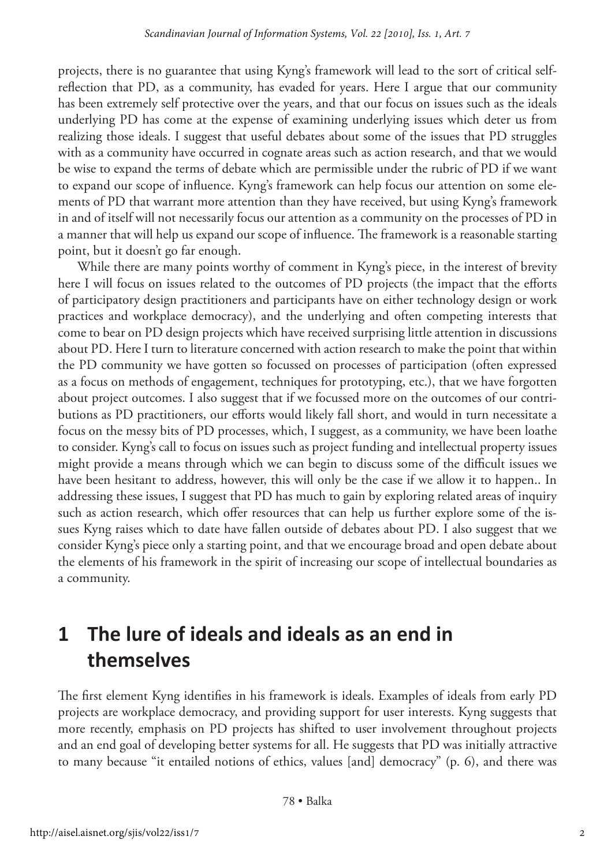projects, there is no guarantee that using Kyng's framework will lead to the sort of critical selfreflection that PD, as a community, has evaded for years. Here I argue that our community has been extremely self protective over the years, and that our focus on issues such as the ideals underlying PD has come at the expense of examining underlying issues which deter us from realizing those ideals. I suggest that useful debates about some of the issues that PD struggles with as a community have occurred in cognate areas such as action research, and that we would be wise to expand the terms of debate which are permissible under the rubric of PD if we want to expand our scope of influence. Kyng's framework can help focus our attention on some elements of PD that warrant more attention than they have received, but using Kyng's framework in and of itself will not necessarily focus our attention as a community on the processes of PD in a manner that will help us expand our scope of influence. The framework is a reasonable starting point, but it doesn't go far enough.

While there are many points worthy of comment in Kyng's piece, in the interest of brevity here I will focus on issues related to the outcomes of PD projects (the impact that the efforts of participatory design practitioners and participants have on either technology design or work practices and workplace democracy), and the underlying and often competing interests that come to bear on PD design projects which have received surprising little attention in discussions about PD. Here I turn to literature concerned with action research to make the point that within the PD community we have gotten so focussed on processes of participation (often expressed as a focus on methods of engagement, techniques for prototyping, etc.), that we have forgotten about project outcomes. I also suggest that if we focussed more on the outcomes of our contributions as PD practitioners, our efforts would likely fall short, and would in turn necessitate a focus on the messy bits of PD processes, which, I suggest, as a community, we have been loathe to consider. Kyng's call to focus on issues such as project funding and intellectual property issues might provide a means through which we can begin to discuss some of the difficult issues we have been hesitant to address, however, this will only be the case if we allow it to happen.. In addressing these issues, I suggest that PD has much to gain by exploring related areas of inquiry such as action research, which offer resources that can help us further explore some of the issues Kyng raises which to date have fallen outside of debates about PD. I also suggest that we consider Kyng's piece only a starting point, and that we encourage broad and open debate about the elements of his framework in the spirit of increasing our scope of intellectual boundaries as a community.

## **1 The lure of ideals and ideals as an end in themselves**

The first element Kyng identifies in his framework is ideals. Examples of ideals from early PD projects are workplace democracy, and providing support for user interests. Kyng suggests that more recently, emphasis on PD projects has shifted to user involvement throughout projects and an end goal of developing better systems for all. He suggests that PD was initially attractive to many because "it entailed notions of ethics, values [and] democracy" (p. 6), and there was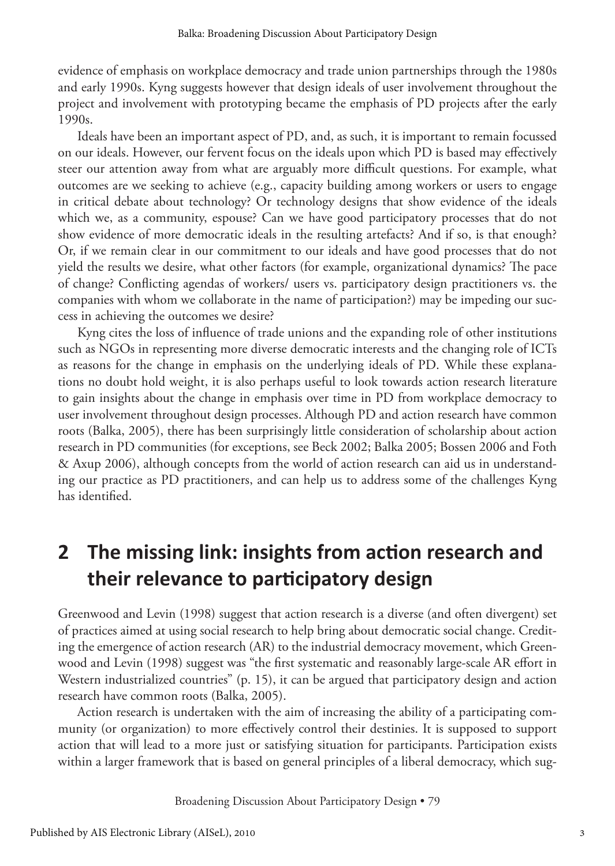evidence of emphasis on workplace democracy and trade union partnerships through the 1980s and early 1990s. Kyng suggests however that design ideals of user involvement throughout the project and involvement with prototyping became the emphasis of PD projects after the early 1990s.

Ideals have been an important aspect of PD, and, as such, it is important to remain focussed on our ideals. However, our fervent focus on the ideals upon which PD is based may effectively steer our attention away from what are arguably more difficult questions. For example, what outcomes are we seeking to achieve (e.g., capacity building among workers or users to engage in critical debate about technology? Or technology designs that show evidence of the ideals which we, as a community, espouse? Can we have good participatory processes that do not show evidence of more democratic ideals in the resulting artefacts? And if so, is that enough? Or, if we remain clear in our commitment to our ideals and have good processes that do not yield the results we desire, what other factors (for example, organizational dynamics? The pace of change? Conflicting agendas of workers/ users vs. participatory design practitioners vs. the companies with whom we collaborate in the name of participation?) may be impeding our success in achieving the outcomes we desire?

Kyng cites the loss of influence of trade unions and the expanding role of other institutions such as NGOs in representing more diverse democratic interests and the changing role of ICTs as reasons for the change in emphasis on the underlying ideals of PD. While these explanations no doubt hold weight, it is also perhaps useful to look towards action research literature to gain insights about the change in emphasis over time in PD from workplace democracy to user involvement throughout design processes. Although PD and action research have common roots (Balka, 2005), there has been surprisingly little consideration of scholarship about action research in PD communities (for exceptions, see Beck 2002; Balka 2005; Bossen 2006 and Foth & Axup 2006), although concepts from the world of action research can aid us in understanding our practice as PD practitioners, and can help us to address some of the challenges Kyng has identified.

### **2 The missing link: insights from action research and their relevance to participatory design**

Greenwood and Levin (1998) suggest that action research is a diverse (and often divergent) set of practices aimed at using social research to help bring about democratic social change. Crediting the emergence of action research (AR) to the industrial democracy movement, which Greenwood and Levin (1998) suggest was "the first systematic and reasonably large-scale AR effort in Western industrialized countries" (p. 15), it can be argued that participatory design and action research have common roots (Balka, 2005).

Action research is undertaken with the aim of increasing the ability of a participating community (or organization) to more effectively control their destinies. It is supposed to support action that will lead to a more just or satisfying situation for participants. Participation exists within a larger framework that is based on general principles of a liberal democracy, which sug-

Broadening Discussion About Participatory Design • 79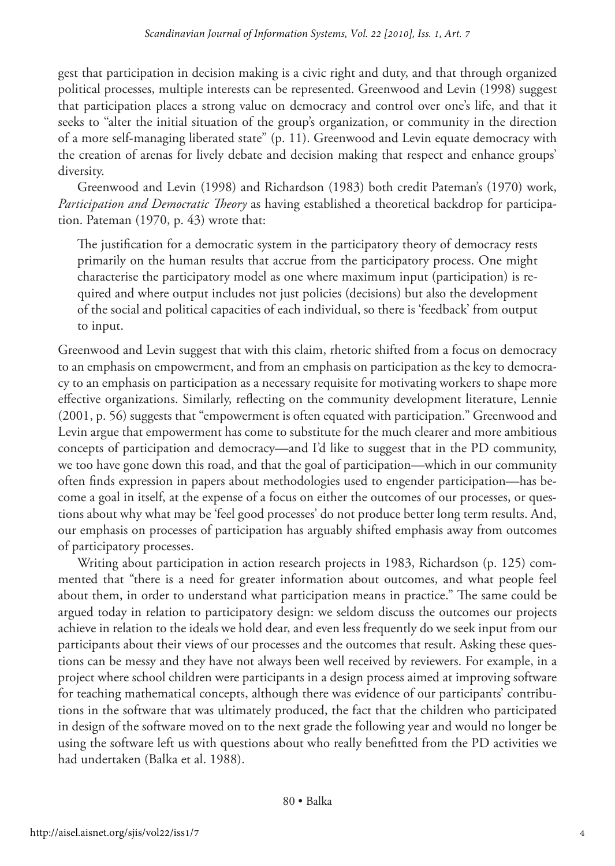gest that participation in decision making is a civic right and duty, and that through organized political processes, multiple interests can be represented. Greenwood and Levin (1998) suggest that participation places a strong value on democracy and control over one's life, and that it seeks to "alter the initial situation of the group's organization, or community in the direction of a more self-managing liberated state" (p. 11). Greenwood and Levin equate democracy with the creation of arenas for lively debate and decision making that respect and enhance groups' diversity.

Greenwood and Levin (1998) and Richardson (1983) both credit Pateman's (1970) work, *Participation and Democratic Theory* as having established a theoretical backdrop for participation. Pateman (1970, p. 43) wrote that:

The justification for a democratic system in the participatory theory of democracy rests primarily on the human results that accrue from the participatory process. One might characterise the participatory model as one where maximum input (participation) is required and where output includes not just policies (decisions) but also the development of the social and political capacities of each individual, so there is 'feedback' from output to input.

Greenwood and Levin suggest that with this claim, rhetoric shifted from a focus on democracy to an emphasis on empowerment, and from an emphasis on participation as the key to democracy to an emphasis on participation as a necessary requisite for motivating workers to shape more effective organizations. Similarly, reflecting on the community development literature, Lennie (2001, p. 56) suggests that "empowerment is often equated with participation." Greenwood and Levin argue that empowerment has come to substitute for the much clearer and more ambitious concepts of participation and democracy—and I'd like to suggest that in the PD community, we too have gone down this road, and that the goal of participation—which in our community often finds expression in papers about methodologies used to engender participation—has become a goal in itself, at the expense of a focus on either the outcomes of our processes, or questions about why what may be 'feel good processes' do not produce better long term results. And, our emphasis on processes of participation has arguably shifted emphasis away from outcomes of participatory processes.

Writing about participation in action research projects in 1983, Richardson (p. 125) commented that "there is a need for greater information about outcomes, and what people feel about them, in order to understand what participation means in practice." The same could be argued today in relation to participatory design: we seldom discuss the outcomes our projects achieve in relation to the ideals we hold dear, and even less frequently do we seek input from our participants about their views of our processes and the outcomes that result. Asking these questions can be messy and they have not always been well received by reviewers. For example, in a project where school children were participants in a design process aimed at improving software for teaching mathematical concepts, although there was evidence of our participants' contributions in the software that was ultimately produced, the fact that the children who participated in design of the software moved on to the next grade the following year and would no longer be using the software left us with questions about who really benefitted from the PD activities we had undertaken (Balka et al. 1988).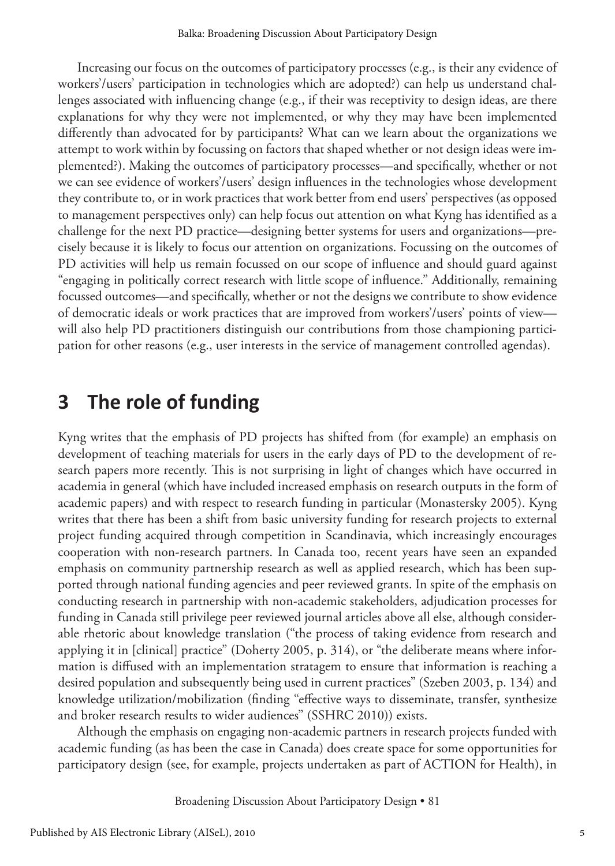Increasing our focus on the outcomes of participatory processes (e.g., is their any evidence of workers'/users' participation in technologies which are adopted?) can help us understand challenges associated with influencing change (e.g., if their was receptivity to design ideas, are there explanations for why they were not implemented, or why they may have been implemented differently than advocated for by participants? What can we learn about the organizations we attempt to work within by focussing on factors that shaped whether or not design ideas were implemented?). Making the outcomes of participatory processes—and specifically, whether or not we can see evidence of workers'/users' design influences in the technologies whose development they contribute to, or in work practices that work better from end users' perspectives (as opposed to management perspectives only) can help focus out attention on what Kyng has identified as a challenge for the next PD practice—designing better systems for users and organizations—precisely because it is likely to focus our attention on organizations. Focussing on the outcomes of PD activities will help us remain focussed on our scope of influence and should guard against "engaging in politically correct research with little scope of influence." Additionally, remaining focussed outcomes—and specifically, whether or not the designs we contribute to show evidence of democratic ideals or work practices that are improved from workers'/users' points of view will also help PD practitioners distinguish our contributions from those championing participation for other reasons (e.g., user interests in the service of management controlled agendas).

#### **3 The role of funding**

Kyng writes that the emphasis of PD projects has shifted from (for example) an emphasis on development of teaching materials for users in the early days of PD to the development of research papers more recently. This is not surprising in light of changes which have occurred in academia in general (which have included increased emphasis on research outputs in the form of academic papers) and with respect to research funding in particular (Monastersky 2005). Kyng writes that there has been a shift from basic university funding for research projects to external project funding acquired through competition in Scandinavia, which increasingly encourages cooperation with non-research partners. In Canada too, recent years have seen an expanded emphasis on community partnership research as well as applied research, which has been supported through national funding agencies and peer reviewed grants. In spite of the emphasis on conducting research in partnership with non-academic stakeholders, adjudication processes for funding in Canada still privilege peer reviewed journal articles above all else, although considerable rhetoric about knowledge translation ("the process of taking evidence from research and applying it in [clinical] practice" (Doherty 2005, p. 314), or "the deliberate means where information is diffused with an implementation stratagem to ensure that information is reaching a desired population and subsequently being used in current practices" (Szeben 2003, p. 134) and knowledge utilization/mobilization (finding "effective ways to disseminate, transfer, synthesize and broker research results to wider audiences" (SSHRC 2010)) exists.

Although the emphasis on engaging non-academic partners in research projects funded with academic funding (as has been the case in Canada) does create space for some opportunities for participatory design (see, for example, projects undertaken as part of ACTION for Health), in

Broadening Discussion About Participatory Design • 81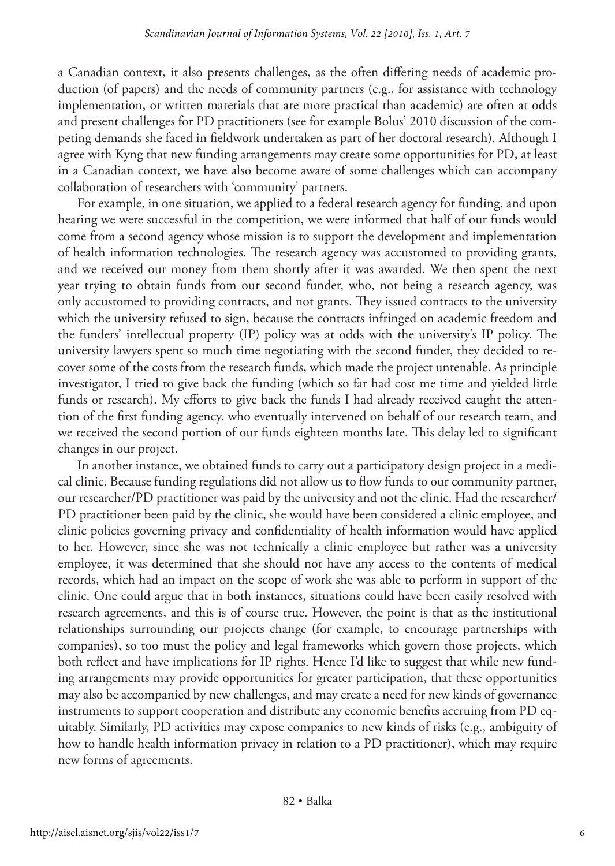a Canadian context, it also presents challenges, as the often differing needs of academic production (of papers) and the needs of community partners (e.g., for assistance with technology implementation, or written materials that are more practical than academic) are often at odds and present challenges for PD practitioners (see for example Bolus' 2010 discussion of the competing demands she faced in fieldwork undertaken as part of her doctoral research). Although I agree with Kyng that new funding arrangements may create some opportunities for PD, at least in a Canadian context, we have also become aware of some challenges which can accompany collaboration of researchers with 'community' partners.

For example, in one situation, we applied to a federal research agency for funding, and upon hearing we were successful in the competition, we were informed that half of our funds would come from a second agency whose mission is to support the development and implementation of health information technologies. The research agency was accustomed to providing grants, and we received our money from them shortly after it was awarded. We then spent the next year trying to obtain funds from our second funder, who, not being a research agency, was only accustomed to providing contracts, and not grants. They issued contracts to the university which the university refused to sign, because the contracts infringed on academic freedom and the funders' intellectual property (IP) policy was at odds with the university's IP policy. The university lawyers spent so much time negotiating with the second funder, they decided to recover some of the costs from the research funds, which made the project untenable. As principle investigator, I tried to give back the funding (which so far had cost me time and yielded little funds or research). My efforts to give back the funds I had already received caught the attention of the first funding agency, who eventually intervened on behalf of our research team, and we received the second portion of our funds eighteen months late. This delay led to significant changes in our project.

In another instance, we obtained funds to carry out a participatory design project in a medical clinic. Because funding regulations did not allow us to flow funds to our community partner, our researcher/PD practitioner was paid by the university and not the clinic. Had the researcher/ PD practitioner been paid by the clinic, she would have been considered a clinic employee, and clinic policies governing privacy and confidentiality of health information would have applied to her. However, since she was not technically a clinic employee but rather was a university employee, it was determined that she should not have any access to the contents of medical records, which had an impact on the scope of work she was able to perform in support of the clinic. One could argue that in both instances, situations could have been easily resolved with research agreements, and this is of course true. However, the point is that as the institutional relationships surrounding our projects change (for example, to encourage partnerships with companies), so too must the policy and legal frameworks which govern those projects, which both reflect and have implications for IP rights. Hence I'd like to suggest that while new funding arrangements may provide opportunities for greater participation, that these opportunities may also be accompanied by new challenges, and may create a need for new kinds of governance instruments to support cooperation and distribute any economic benefits accruing from PD equitably. Similarly, PD activities may expose companies to new kinds of risks (e.g., ambiguity of how to handle health information privacy in relation to a PD practitioner), which may require new forms of agreements.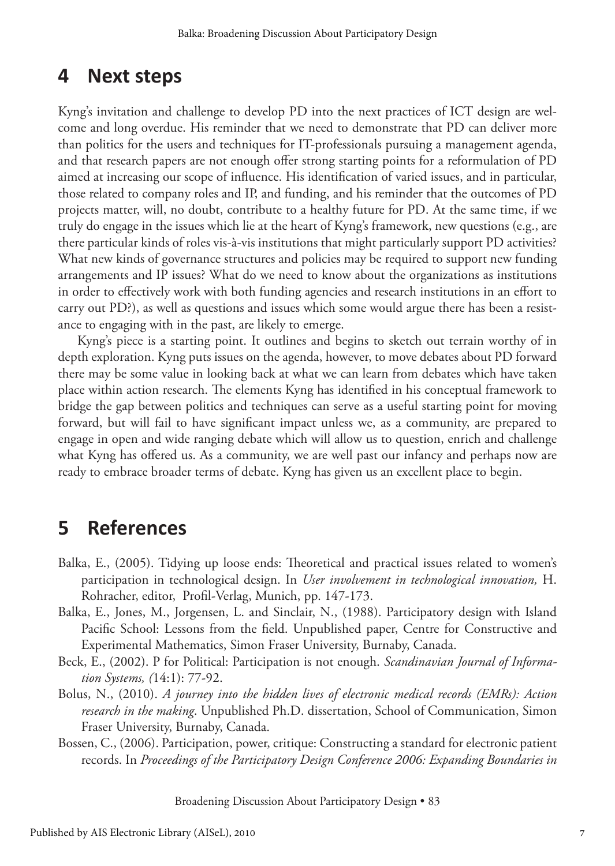#### **4 Next steps**

Kyng's invitation and challenge to develop PD into the next practices of ICT design are welcome and long overdue. His reminder that we need to demonstrate that PD can deliver more than politics for the users and techniques for IT-professionals pursuing a management agenda, and that research papers are not enough offer strong starting points for a reformulation of PD aimed at increasing our scope of influence. His identification of varied issues, and in particular, those related to company roles and IP, and funding, and his reminder that the outcomes of PD projects matter, will, no doubt, contribute to a healthy future for PD. At the same time, if we truly do engage in the issues which lie at the heart of Kyng's framework, new questions (e.g., are there particular kinds of roles vis-à-vis institutions that might particularly support PD activities? What new kinds of governance structures and policies may be required to support new funding arrangements and IP issues? What do we need to know about the organizations as institutions in order to effectively work with both funding agencies and research institutions in an effort to carry out PD?), as well as questions and issues which some would argue there has been a resistance to engaging with in the past, are likely to emerge.

Kyng's piece is a starting point. It outlines and begins to sketch out terrain worthy of in depth exploration. Kyng puts issues on the agenda, however, to move debates about PD forward there may be some value in looking back at what we can learn from debates which have taken place within action research. The elements Kyng has identified in his conceptual framework to bridge the gap between politics and techniques can serve as a useful starting point for moving forward, but will fail to have significant impact unless we, as a community, are prepared to engage in open and wide ranging debate which will allow us to question, enrich and challenge what Kyng has offered us. As a community, we are well past our infancy and perhaps now are ready to embrace broader terms of debate. Kyng has given us an excellent place to begin.

### **5 References**

- Balka, E., (2005). Tidying up loose ends: Theoretical and practical issues related to women's participation in technological design. In *User involvement in technological innovation,* H. Rohracher, editor, Profil-Verlag, Munich, pp. 147-173.
- Balka, E., Jones, M., Jorgensen, L. and Sinclair, N., (1988). Participatory design with Island Pacific School: Lessons from the field. Unpublished paper, Centre for Constructive and Experimental Mathematics, Simon Fraser University, Burnaby, Canada.
- Beck, E., (2002). P for Political: Participation is not enough. *Scandinavian Journal of Information Systems, (*14:1): 77-92.
- Bolus, N., (2010). *A journey into the hidden lives of electronic medical records (EMRs): Action research in the making*. Unpublished Ph.D. dissertation, School of Communication, Simon Fraser University, Burnaby, Canada.
- Bossen, C., (2006). Participation, power, critique: Constructing a standard for electronic patient records. In *Proceedings of the Participatory Design Conference 2006: Expanding Boundaries in*

Broadening Discussion About Participatory Design • 83